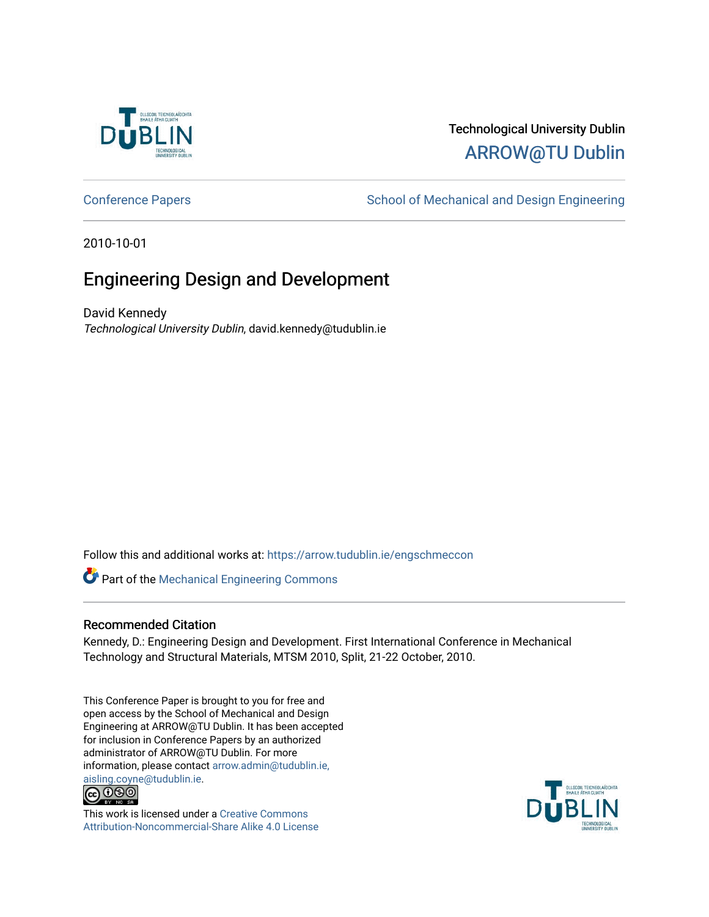

# Technological University Dublin [ARROW@TU Dublin](https://arrow.tudublin.ie/)

[Conference Papers](https://arrow.tudublin.ie/engschmeccon) **School of Mechanical and Design Engineering** School of Mechanical and Design Engineering

2010-10-01

# Engineering Design and Development

David Kennedy Technological University Dublin, david.kennedy@tudublin.ie

Follow this and additional works at: [https://arrow.tudublin.ie/engschmeccon](https://arrow.tudublin.ie/engschmeccon?utm_source=arrow.tudublin.ie%2Fengschmeccon%2F30&utm_medium=PDF&utm_campaign=PDFCoverPages) 

Part of the [Mechanical Engineering Commons](http://network.bepress.com/hgg/discipline/293?utm_source=arrow.tudublin.ie%2Fengschmeccon%2F30&utm_medium=PDF&utm_campaign=PDFCoverPages) 

#### Recommended Citation

Kennedy, D.: Engineering Design and Development. First International Conference in Mechanical Technology and Structural Materials, MTSM 2010, Split, 21-22 October, 2010.

This Conference Paper is brought to you for free and open access by the School of Mechanical and Design Engineering at ARROW@TU Dublin. It has been accepted for inclusion in Conference Papers by an authorized administrator of ARROW@TU Dublin. For more information, please contact [arrow.admin@tudublin.ie,](mailto:arrow.admin@tudublin.ie,%20aisling.coyne@tudublin.ie)  [aisling.coyne@tudublin.ie.](mailto:arrow.admin@tudublin.ie,%20aisling.coyne@tudublin.ie)<br>© 090



This work is licensed under a [Creative Commons](http://creativecommons.org/licenses/by-nc-sa/4.0/) [Attribution-Noncommercial-Share Alike 4.0 License](http://creativecommons.org/licenses/by-nc-sa/4.0/)

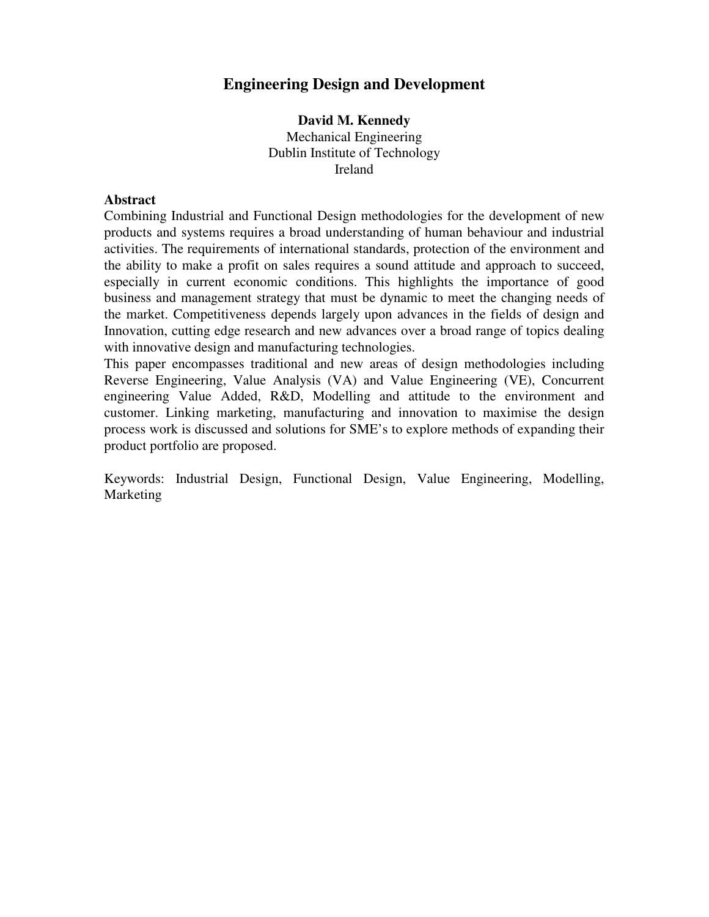# **Engineering Design and Development**

**David M. Kennedy**  Mechanical Engineering Dublin Institute of Technology Ireland

#### **Abstract**

Combining Industrial and Functional Design methodologies for the development of new products and systems requires a broad understanding of human behaviour and industrial activities. The requirements of international standards, protection of the environment and the ability to make a profit on sales requires a sound attitude and approach to succeed, especially in current economic conditions. This highlights the importance of good business and management strategy that must be dynamic to meet the changing needs of the market. Competitiveness depends largely upon advances in the fields of design and Innovation, cutting edge research and new advances over a broad range of topics dealing with innovative design and manufacturing technologies.

This paper encompasses traditional and new areas of design methodologies including Reverse Engineering, Value Analysis (VA) and Value Engineering (VE), Concurrent engineering Value Added, R&D, Modelling and attitude to the environment and customer. Linking marketing, manufacturing and innovation to maximise the design process work is discussed and solutions for SME's to explore methods of expanding their product portfolio are proposed.

Keywords: Industrial Design, Functional Design, Value Engineering, Modelling, Marketing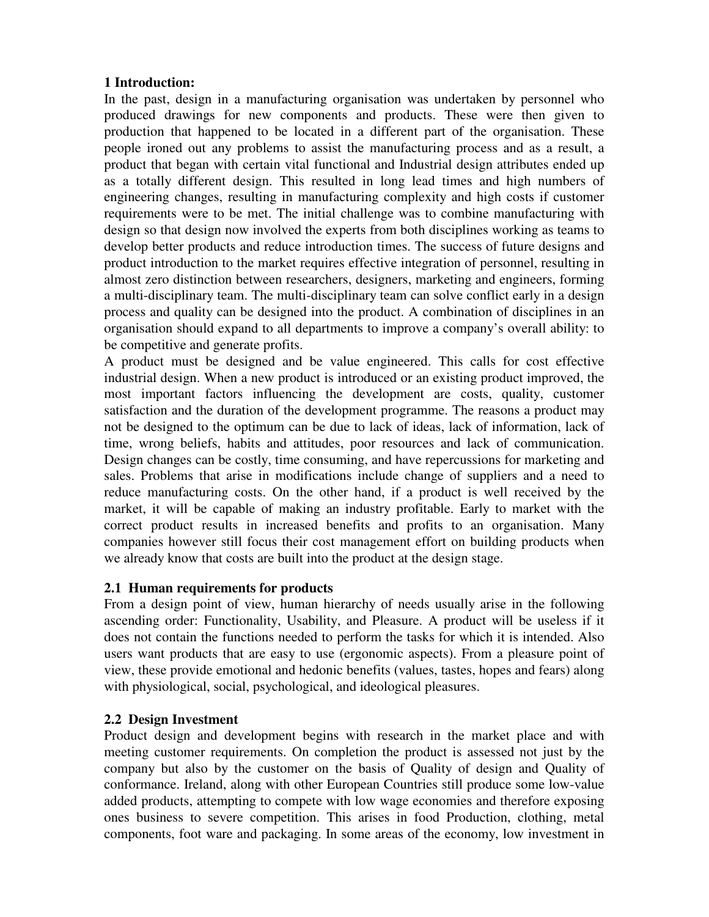#### **1 Introduction:**

In the past, design in a manufacturing organisation was undertaken by personnel who produced drawings for new components and products. These were then given to production that happened to be located in a different part of the organisation. These people ironed out any problems to assist the manufacturing process and as a result, a product that began with certain vital functional and Industrial design attributes ended up as a totally different design. This resulted in long lead times and high numbers of engineering changes, resulting in manufacturing complexity and high costs if customer requirements were to be met. The initial challenge was to combine manufacturing with design so that design now involved the experts from both disciplines working as teams to develop better products and reduce introduction times. The success of future designs and product introduction to the market requires effective integration of personnel, resulting in almost zero distinction between researchers, designers, marketing and engineers, forming a multi-disciplinary team. The multi-disciplinary team can solve conflict early in a design process and quality can be designed into the product. A combination of disciplines in an organisation should expand to all departments to improve a company's overall ability: to be competitive and generate profits.

A product must be designed and be value engineered. This calls for cost effective industrial design. When a new product is introduced or an existing product improved, the most important factors influencing the development are costs, quality, customer satisfaction and the duration of the development programme. The reasons a product may not be designed to the optimum can be due to lack of ideas, lack of information, lack of time, wrong beliefs, habits and attitudes, poor resources and lack of communication. Design changes can be costly, time consuming, and have repercussions for marketing and sales. Problems that arise in modifications include change of suppliers and a need to reduce manufacturing costs. On the other hand, if a product is well received by the market, it will be capable of making an industry profitable. Early to market with the correct product results in increased benefits and profits to an organisation. Many companies however still focus their cost management effort on building products when we already know that costs are built into the product at the design stage.

# **2.1 Human requirements for products**

From a design point of view, human hierarchy of needs usually arise in the following ascending order: Functionality, Usability, and Pleasure. A product will be useless if it does not contain the functions needed to perform the tasks for which it is intended. Also users want products that are easy to use (ergonomic aspects). From a pleasure point of view, these provide emotional and hedonic benefits (values, tastes, hopes and fears) along with physiological, social, psychological, and ideological pleasures.

#### **2.2 Design Investment**

Product design and development begins with research in the market place and with meeting customer requirements. On completion the product is assessed not just by the company but also by the customer on the basis of Quality of design and Quality of conformance. Ireland, along with other European Countries still produce some low-value added products, attempting to compete with low wage economies and therefore exposing ones business to severe competition. This arises in food Production, clothing, metal components, foot ware and packaging. In some areas of the economy, low investment in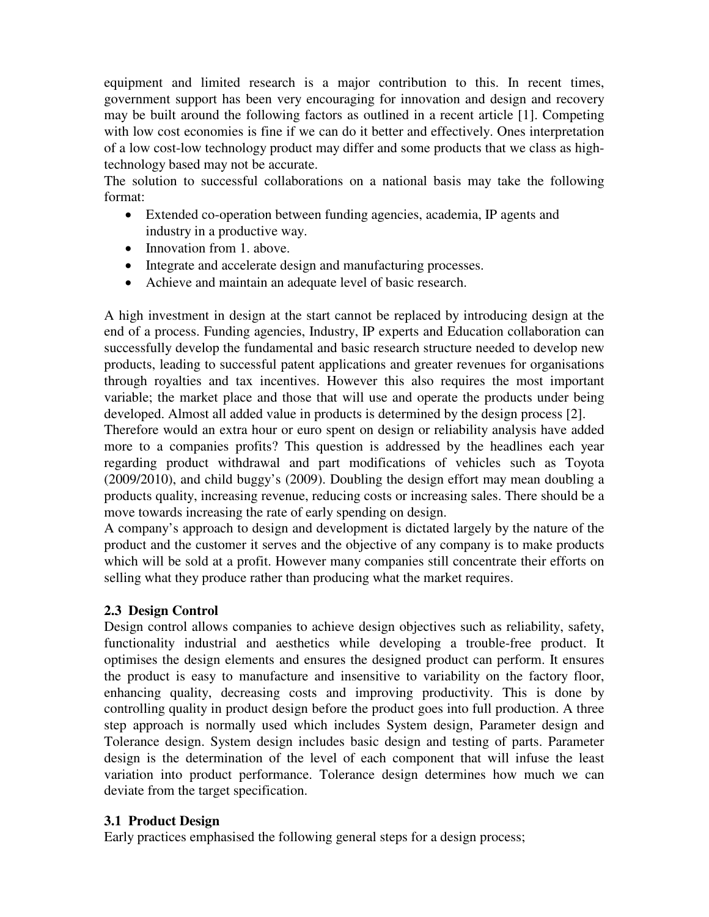equipment and limited research is a major contribution to this. In recent times, government support has been very encouraging for innovation and design and recovery may be built around the following factors as outlined in a recent article [1]. Competing with low cost economies is fine if we can do it better and effectively. Ones interpretation of a low cost-low technology product may differ and some products that we class as hightechnology based may not be accurate.

The solution to successful collaborations on a national basis may take the following format:

- Extended co-operation between funding agencies, academia, IP agents and industry in a productive way.
- Innovation from 1. above.
- Integrate and accelerate design and manufacturing processes.
- Achieve and maintain an adequate level of basic research.

A high investment in design at the start cannot be replaced by introducing design at the end of a process. Funding agencies, Industry, IP experts and Education collaboration can successfully develop the fundamental and basic research structure needed to develop new products, leading to successful patent applications and greater revenues for organisations through royalties and tax incentives. However this also requires the most important variable; the market place and those that will use and operate the products under being developed. Almost all added value in products is determined by the design process [2].

Therefore would an extra hour or euro spent on design or reliability analysis have added more to a companies profits? This question is addressed by the headlines each year regarding product withdrawal and part modifications of vehicles such as Toyota (2009/2010), and child buggy's (2009). Doubling the design effort may mean doubling a products quality, increasing revenue, reducing costs or increasing sales. There should be a move towards increasing the rate of early spending on design.

A company's approach to design and development is dictated largely by the nature of the product and the customer it serves and the objective of any company is to make products which will be sold at a profit. However many companies still concentrate their efforts on selling what they produce rather than producing what the market requires.

# **2.3 Design Control**

Design control allows companies to achieve design objectives such as reliability, safety, functionality industrial and aesthetics while developing a trouble-free product. It optimises the design elements and ensures the designed product can perform. It ensures the product is easy to manufacture and insensitive to variability on the factory floor, enhancing quality, decreasing costs and improving productivity. This is done by controlling quality in product design before the product goes into full production. A three step approach is normally used which includes System design, Parameter design and Tolerance design. System design includes basic design and testing of parts. Parameter design is the determination of the level of each component that will infuse the least variation into product performance. Tolerance design determines how much we can deviate from the target specification.

# **3.1 Product Design**

Early practices emphasised the following general steps for a design process;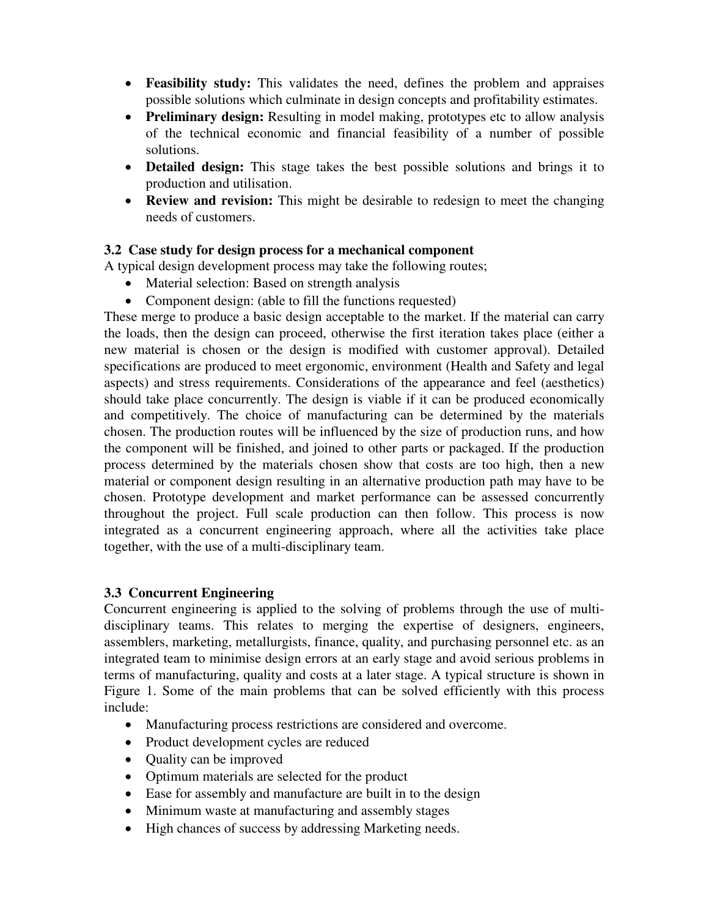- **Feasibility study:** This validates the need, defines the problem and appraises possible solutions which culminate in design concepts and profitability estimates.
- **Preliminary design:** Resulting in model making, prototypes etc to allow analysis of the technical economic and financial feasibility of a number of possible solutions.
- **Detailed design:** This stage takes the best possible solutions and brings it to production and utilisation.
- **Review and revision:** This might be desirable to redesign to meet the changing needs of customers.

# **3.2 Case study for design process for a mechanical component**

A typical design development process may take the following routes;

- Material selection: Based on strength analysis
- Component design: (able to fill the functions requested)

These merge to produce a basic design acceptable to the market. If the material can carry the loads, then the design can proceed, otherwise the first iteration takes place (either a new material is chosen or the design is modified with customer approval). Detailed specifications are produced to meet ergonomic, environment (Health and Safety and legal aspects) and stress requirements. Considerations of the appearance and feel (aesthetics) should take place concurrently. The design is viable if it can be produced economically and competitively. The choice of manufacturing can be determined by the materials chosen. The production routes will be influenced by the size of production runs, and how the component will be finished, and joined to other parts or packaged. If the production process determined by the materials chosen show that costs are too high, then a new material or component design resulting in an alternative production path may have to be chosen. Prototype development and market performance can be assessed concurrently throughout the project. Full scale production can then follow. This process is now integrated as a concurrent engineering approach, where all the activities take place together, with the use of a multi-disciplinary team.

# **3.3 Concurrent Engineering**

Concurrent engineering is applied to the solving of problems through the use of multidisciplinary teams. This relates to merging the expertise of designers, engineers, assemblers, marketing, metallurgists, finance, quality, and purchasing personnel etc. as an integrated team to minimise design errors at an early stage and avoid serious problems in terms of manufacturing, quality and costs at a later stage. A typical structure is shown in Figure 1. Some of the main problems that can be solved efficiently with this process include:

- Manufacturing process restrictions are considered and overcome.
- Product development cycles are reduced
- Quality can be improved
- Optimum materials are selected for the product
- Ease for assembly and manufacture are built in to the design
- Minimum waste at manufacturing and assembly stages
- High chances of success by addressing Marketing needs.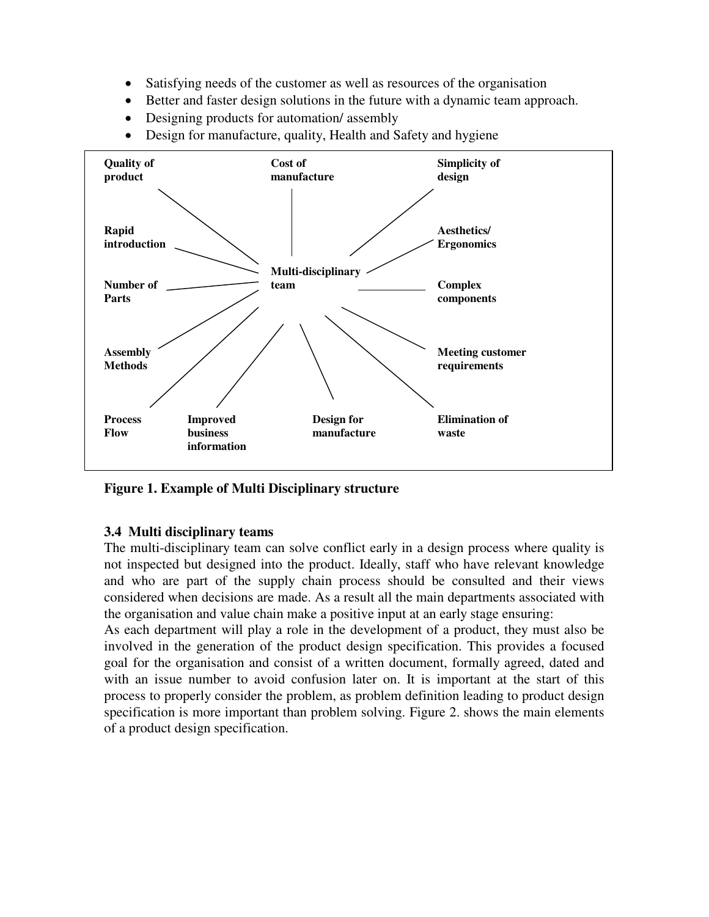- Satisfying needs of the customer as well as resources of the organisation
- Better and faster design solutions in the future with a dynamic team approach.
- Designing products for automation/ assembly
- Design for manufacture, quality, Health and Safety and hygiene



**Figure 1. Example of Multi Disciplinary structure** 

#### **3.4 Multi disciplinary teams**

The multi-disciplinary team can solve conflict early in a design process where quality is not inspected but designed into the product. Ideally, staff who have relevant knowledge and who are part of the supply chain process should be consulted and their views considered when decisions are made. As a result all the main departments associated with the organisation and value chain make a positive input at an early stage ensuring:

As each department will play a role in the development of a product, they must also be involved in the generation of the product design specification. This provides a focused goal for the organisation and consist of a written document, formally agreed, dated and with an issue number to avoid confusion later on. It is important at the start of this process to properly consider the problem, as problem definition leading to product design specification is more important than problem solving. Figure 2. shows the main elements of a product design specification.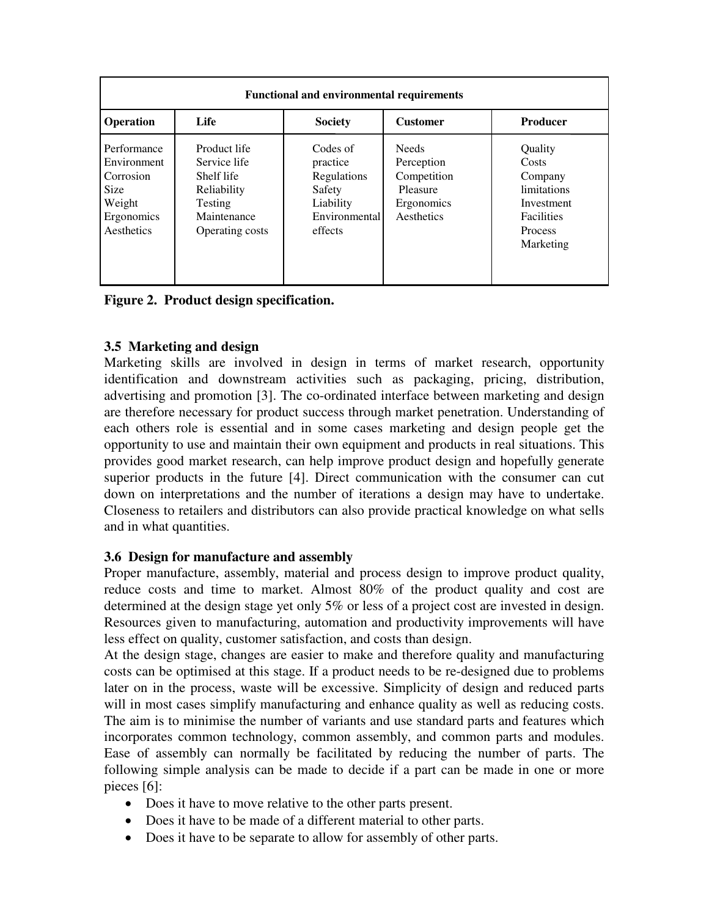| <b>Functional and environmental requirements</b>                                             |                                                                                                               |                                                                                        |                                                                                   |                                                                                                                     |
|----------------------------------------------------------------------------------------------|---------------------------------------------------------------------------------------------------------------|----------------------------------------------------------------------------------------|-----------------------------------------------------------------------------------|---------------------------------------------------------------------------------------------------------------------|
| Operation                                                                                    | Life                                                                                                          | <b>Society</b>                                                                         | <b>Customer</b>                                                                   | Producer                                                                                                            |
| Performance<br>Environment<br>Corrosion<br><b>Size</b><br>Weight<br>Ergonomics<br>Aesthetics | Product life<br>Service life<br>Shelf life<br>Reliability<br><b>Testing</b><br>Maintenance<br>Operating costs | Codes of<br>practice<br>Regulations<br>Safety<br>Liability<br>Environmental<br>effects | <b>Needs</b><br>Perception<br>Competition<br>Pleasure<br>Ergonomics<br>Aesthetics | Quality<br>Costs<br>Company<br><i>limitations</i><br>Investment<br><b>Facilities</b><br><b>Process</b><br>Marketing |

**Figure 2. Product design specification.** 

# **3.5 Marketing and design**

Marketing skills are involved in design in terms of market research, opportunity identification and downstream activities such as packaging, pricing, distribution, advertising and promotion [3]. The co-ordinated interface between marketing and design are therefore necessary for product success through market penetration. Understanding of each others role is essential and in some cases marketing and design people get the opportunity to use and maintain their own equipment and products in real situations. This provides good market research, can help improve product design and hopefully generate superior products in the future [4]. Direct communication with the consumer can cut down on interpretations and the number of iterations a design may have to undertake. Closeness to retailers and distributors can also provide practical knowledge on what sells and in what quantities.

# **3.6 Design for manufacture and assembly**

Proper manufacture, assembly, material and process design to improve product quality, reduce costs and time to market. Almost 80% of the product quality and cost are determined at the design stage yet only 5% or less of a project cost are invested in design. Resources given to manufacturing, automation and productivity improvements will have less effect on quality, customer satisfaction, and costs than design.

At the design stage, changes are easier to make and therefore quality and manufacturing costs can be optimised at this stage. If a product needs to be re-designed due to problems later on in the process, waste will be excessive. Simplicity of design and reduced parts will in most cases simplify manufacturing and enhance quality as well as reducing costs. The aim is to minimise the number of variants and use standard parts and features which incorporates common technology, common assembly, and common parts and modules. Ease of assembly can normally be facilitated by reducing the number of parts. The following simple analysis can be made to decide if a part can be made in one or more pieces [6]:

- Does it have to move relative to the other parts present.
- Does it have to be made of a different material to other parts.
- Does it have to be separate to allow for assembly of other parts.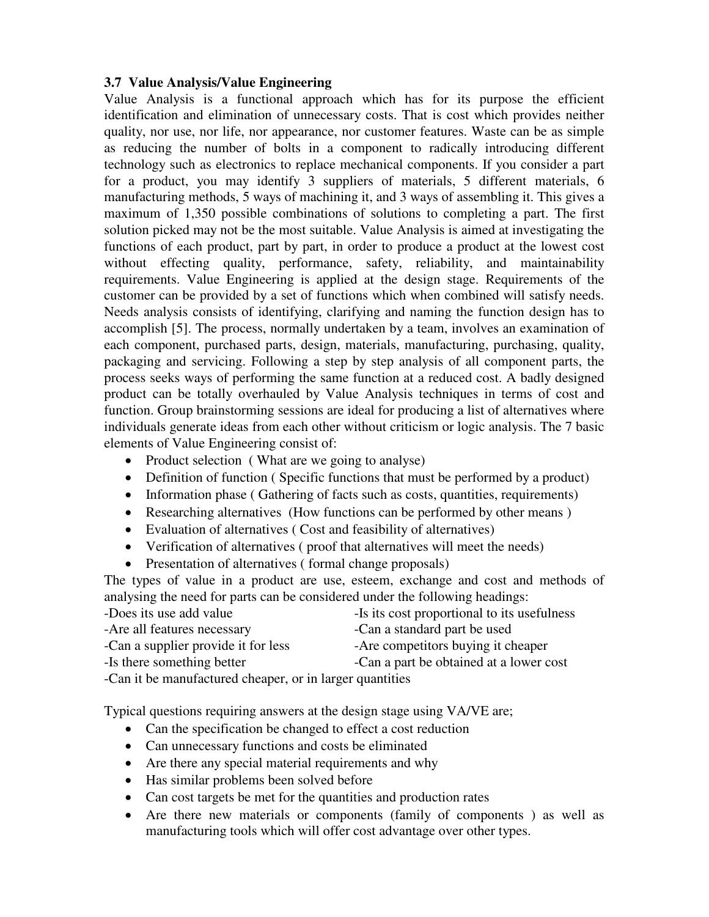#### **3.7 Value Analysis/Value Engineering**

Value Analysis is a functional approach which has for its purpose the efficient identification and elimination of unnecessary costs. That is cost which provides neither quality, nor use, nor life, nor appearance, nor customer features. Waste can be as simple as reducing the number of bolts in a component to radically introducing different technology such as electronics to replace mechanical components. If you consider a part for a product, you may identify 3 suppliers of materials, 5 different materials, 6 manufacturing methods, 5 ways of machining it, and 3 ways of assembling it. This gives a maximum of 1,350 possible combinations of solutions to completing a part. The first solution picked may not be the most suitable. Value Analysis is aimed at investigating the functions of each product, part by part, in order to produce a product at the lowest cost without effecting quality, performance, safety, reliability, and maintainability requirements. Value Engineering is applied at the design stage. Requirements of the customer can be provided by a set of functions which when combined will satisfy needs. Needs analysis consists of identifying, clarifying and naming the function design has to accomplish [5]. The process, normally undertaken by a team, involves an examination of each component, purchased parts, design, materials, manufacturing, purchasing, quality, packaging and servicing. Following a step by step analysis of all component parts, the process seeks ways of performing the same function at a reduced cost. A badly designed product can be totally overhauled by Value Analysis techniques in terms of cost and function. Group brainstorming sessions are ideal for producing a list of alternatives where individuals generate ideas from each other without criticism or logic analysis. The 7 basic elements of Value Engineering consist of:

- Product selection (What are we going to analyse)
- Definition of function (Specific functions that must be performed by a product)
- Information phase (Gathering of facts such as costs, quantities, requirements)
- Researching alternatives (How functions can be performed by other means)
- Evaluation of alternatives (Cost and feasibility of alternatives)
- Verification of alternatives (proof that alternatives will meet the needs)
- Presentation of alternatives (formal change proposals)

The types of value in a product are use, esteem, exchange and cost and methods of analysing the need for parts can be considered under the following headings:

| -Does its use add value                                  | -Is its cost proportional to its usefulness |  |  |
|----------------------------------------------------------|---------------------------------------------|--|--|
| -Are all features necessary                              | -Can a standard part be used                |  |  |
| -Can a supplier provide it for less                      | -Are competitors buying it cheaper          |  |  |
| -Is there something better                               | -Can a part be obtained at a lower cost     |  |  |
| -Can it be manufactured cheaper, or in larger quantities |                                             |  |  |

Typical questions requiring answers at the design stage using VA/VE are;

- Can the specification be changed to effect a cost reduction
- Can unnecessary functions and costs be eliminated
- Are there any special material requirements and why
- Has similar problems been solved before
- Can cost targets be met for the quantities and production rates
- Are there new materials or components (family of components ) as well as manufacturing tools which will offer cost advantage over other types.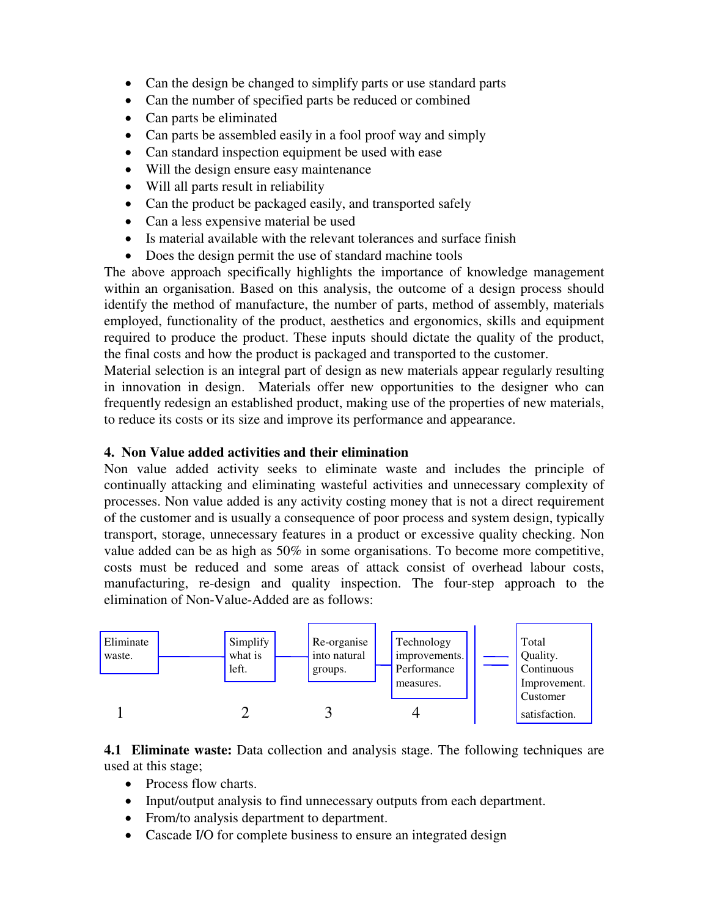- Can the design be changed to simplify parts or use standard parts
- Can the number of specified parts be reduced or combined
- Can parts be eliminated
- Can parts be assembled easily in a fool proof way and simply
- Can standard inspection equipment be used with ease
- Will the design ensure easy maintenance
- Will all parts result in reliability
- Can the product be packaged easily, and transported safely
- Can a less expensive material be used
- Is material available with the relevant tolerances and surface finish
- Does the design permit the use of standard machine tools

The above approach specifically highlights the importance of knowledge management within an organisation. Based on this analysis, the outcome of a design process should identify the method of manufacture, the number of parts, method of assembly, materials employed, functionality of the product, aesthetics and ergonomics, skills and equipment required to produce the product. These inputs should dictate the quality of the product, the final costs and how the product is packaged and transported to the customer.

Material selection is an integral part of design as new materials appear regularly resulting in innovation in design. Materials offer new opportunities to the designer who can frequently redesign an established product, making use of the properties of new materials, to reduce its costs or its size and improve its performance and appearance.

#### **4. Non Value added activities and their elimination**

Non value added activity seeks to eliminate waste and includes the principle of continually attacking and eliminating wasteful activities and unnecessary complexity of processes. Non value added is any activity costing money that is not a direct requirement of the customer and is usually a consequence of poor process and system design, typically transport, storage, unnecessary features in a product or excessive quality checking. Non value added can be as high as  $50\%$  in some organisations. To become more competitive, costs must be reduced and some areas of attack consist of overhead labour costs, manufacturing, re-design and quality inspection. The four-step approach to the elimination of Non-Value-Added are as follows:



**4.1 Eliminate waste:** Data collection and analysis stage. The following techniques are used at this stage;

- Process flow charts.
- Input/output analysis to find unnecessary outputs from each department.
- From/to analysis department to department.
- Cascade I/O for complete business to ensure an integrated design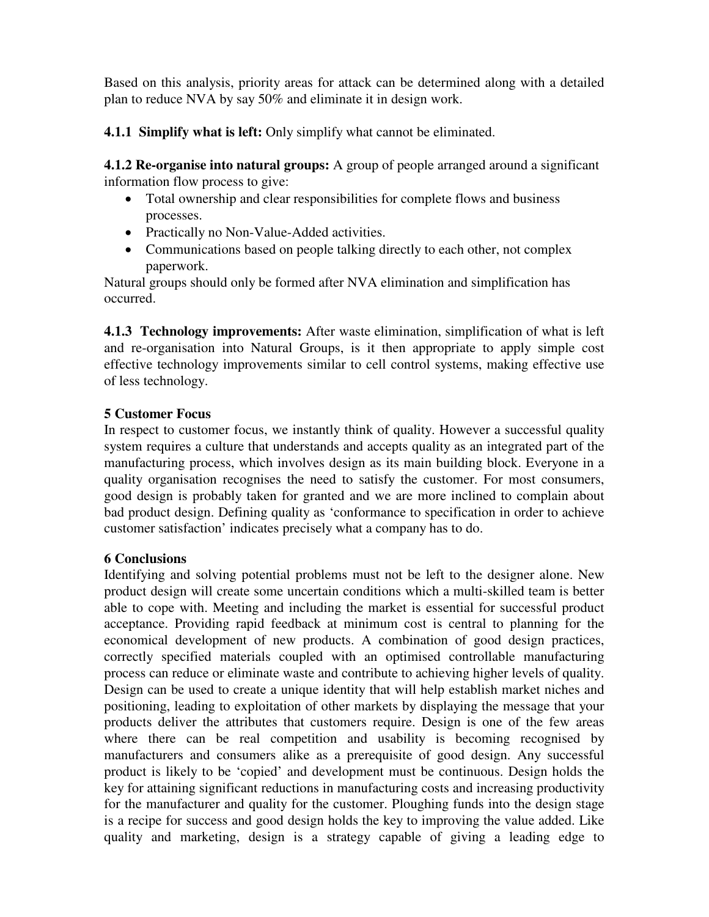Based on this analysis, priority areas for attack can be determined along with a detailed plan to reduce NVA by say 50% and eliminate it in design work.

**4.1.1 Simplify what is left:** Only simplify what cannot be eliminated.

**4.1.2 Re-organise into natural groups:** A group of people arranged around a significant information flow process to give:

- Total ownership and clear responsibilities for complete flows and business processes.
- Practically no Non-Value-Added activities.
- Communications based on people talking directly to each other, not complex paperwork.

Natural groups should only be formed after NVA elimination and simplification has occurred.

**4.1.3 Technology improvements:** After waste elimination, simplification of what is left and re-organisation into Natural Groups, is it then appropriate to apply simple cost effective technology improvements similar to cell control systems, making effective use of less technology.

# **5 Customer Focus**

In respect to customer focus, we instantly think of quality. However a successful quality system requires a culture that understands and accepts quality as an integrated part of the manufacturing process, which involves design as its main building block. Everyone in a quality organisation recognises the need to satisfy the customer. For most consumers, good design is probably taken for granted and we are more inclined to complain about bad product design. Defining quality as 'conformance to specification in order to achieve customer satisfaction' indicates precisely what a company has to do.

# **6 Conclusions**

Identifying and solving potential problems must not be left to the designer alone. New product design will create some uncertain conditions which a multi-skilled team is better able to cope with. Meeting and including the market is essential for successful product acceptance. Providing rapid feedback at minimum cost is central to planning for the economical development of new products. A combination of good design practices, correctly specified materials coupled with an optimised controllable manufacturing process can reduce or eliminate waste and contribute to achieving higher levels of quality. Design can be used to create a unique identity that will help establish market niches and positioning, leading to exploitation of other markets by displaying the message that your products deliver the attributes that customers require. Design is one of the few areas where there can be real competition and usability is becoming recognised by manufacturers and consumers alike as a prerequisite of good design. Any successful product is likely to be 'copied' and development must be continuous. Design holds the key for attaining significant reductions in manufacturing costs and increasing productivity for the manufacturer and quality for the customer. Ploughing funds into the design stage is a recipe for success and good design holds the key to improving the value added. Like quality and marketing, design is a strategy capable of giving a leading edge to